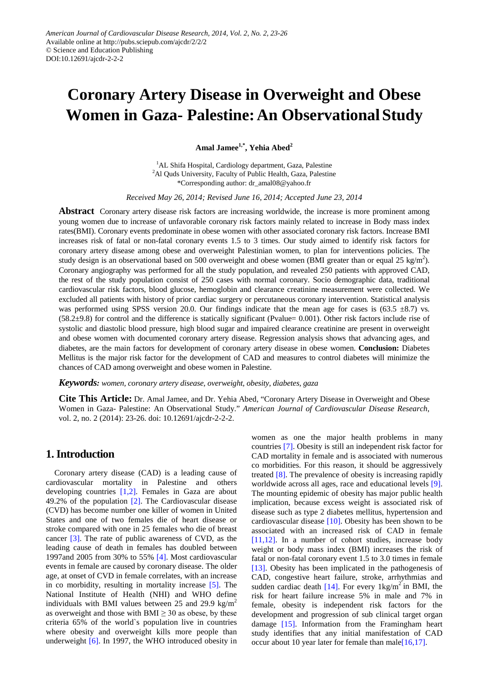# **Coronary Artery Disease in Overweight and Obese Women in Gaza- Palestine:An ObservationalStudy**

**Amal Jamee1,\* , Yehia Abed<sup>2</sup>**

<sup>1</sup>AL Shifa Hospital, Cardiology department, Gaza, Palestine <sup>2</sup>Al Quds University, Faculty of Public Health, Gaza, Palestine \*Corresponding author: dr\_amal08@yahoo.fr

*Received May 26, 2014; Revised June 16, 2014; Accepted June 23, 2014*

**Abstract** Coronary artery disease risk factors are increasing worldwide, the increase is more prominent among young women due to increase of unfavorable coronary risk factors mainly related to increase in Body mass index rates(BMI). Coronary events predominate in obese women with other associated coronary risk factors. Increase BMI increases risk of fatal or non-fatal coronary events 1.5 to 3 times. Our study aimed to identify risk factors for coronary artery disease among obese and overweight Palestinian women, to plan for interventions policies. The study design is an observational based on 500 overweight and obese women (BMI greater than or equal 25 kg/m<sup>2</sup>). Coronary angiography was performed for all the study population, and revealed 250 patients with approved CAD, the rest of the study population consist of 250 cases with normal coronary. Socio demographic data, traditional cardiovascular risk factors, blood glucose, hemoglobin and clearance creatinine measurement were collected. We excluded all patients with history of prior cardiac surgery or percutaneous coronary intervention. Statistical analysis was performed using SPSS version 20.0. Our findings indicate that the mean age for cases is (63.5  $\pm$ 8.7) vs. (58.2±9.8) for control and the difference is statically significant (Pvalue= 0.001). Other risk factors include rise of systolic and diastolic blood pressure, high blood sugar and impaired clearance creatinine are present in overweight and obese women with documented coronary artery disease. Regression analysis shows that advancing ages, and diabetes, are the main factors for development of coronary artery disease in obese women. **Conclusion:** Diabetes Mellitus is the major risk factor for the development of CAD and measures to control diabetes will minimize the chances of CAD among overweight and obese women in Palestine.

*Keywords: women, coronary artery disease, overweight, obesity, diabetes, gaza*

**Cite This Article:** Dr. Amal Jamee, and Dr. Yehia Abed, "Coronary Artery Disease in Overweight and Obese Women in Gaza- Palestine: An Observational Study." *American Journal of Cardiovascular Disease Research*, vol. 2, no. 2 (2014): 23-26. doi: 10.12691/ajcdr-2-2-2.

## **1. Introduction**

Coronary artery disease (CAD) is a leading cause of cardiovascular mortality in Palestine and others developing countries [\[1,2\].](#page-3-0) Females in Gaza are about 49.2% of the population [\[2\].](#page-3-1) The Cardiovascular disease (CVD) has become number one killer of women in United States and one of two females die of heart disease or stroke compared with one in 25 females who die of breast cancer [\[3\].](#page-3-2) The rate of public awareness of CVD, as the leading cause of death in females has doubled between 1997and 2005 from 30% to 55% [\[4\].](#page-3-3) Most cardiovascular events in female are caused by coronary disease. The older age, at onset of CVD in female correlates, with an increase in co morbidity, resulting in mortality increase [\[5\].](#page-3-4) The National Institute of Health (NHI) and WHO define individuals with BMI values between 25 and 29.9 kg/m<sup>2</sup> as overweight and those with  $BMI \geq 30$  as obese, by these criteria 65% of the world`s population live in countries where obesity and overweight kills more people than underweight [\[6\].](#page-3-5) In 1997, the WHO introduced obesity in women as one the major health problems in many countries [\[7\].](#page-3-6) Obesity is still an independent risk factor for CAD mortality in female and is associated with numerous co morbidities. For this reason, it should be aggressively treated [\[8\].](#page-3-7) The prevalence of obesity is increasing rapidly worldwide across all ages, race and educational levels [\[9\].](#page-3-8) The mounting epidemic of obesity has major public health implication, because excess weight is associated risk of disease such as type 2 diabetes mellitus, hypertension and cardiovascular disease [\[10\].](#page-3-9) Obesity has been shown to be associated with an increased risk of CAD in female [\[11,12\].](#page-3-10) In a number of cohort studies, increase body weight or body mass index (BMI) increases the risk of fatal or non-fatal coronary event 1.5 to 3.0 times in female [\[13\].](#page-3-11) Obesity has been implicated in the pathogenesis of CAD, congestive heart failure, stroke, arrhythmias and sudden cardiac death  $[14]$ . For every  $1 \text{kg/m}^2$  in BMI, the risk for heart failure increase 5% in male and 7% in female, obesity is independent risk factors for the development and progression of sub clinical target organ damage [\[15\].](#page-3-13) Information from the Framingham heart study identifies that any initial manifestation of CAD occur about 10 year later for female than mal[e\[16,17\].](#page-3-14)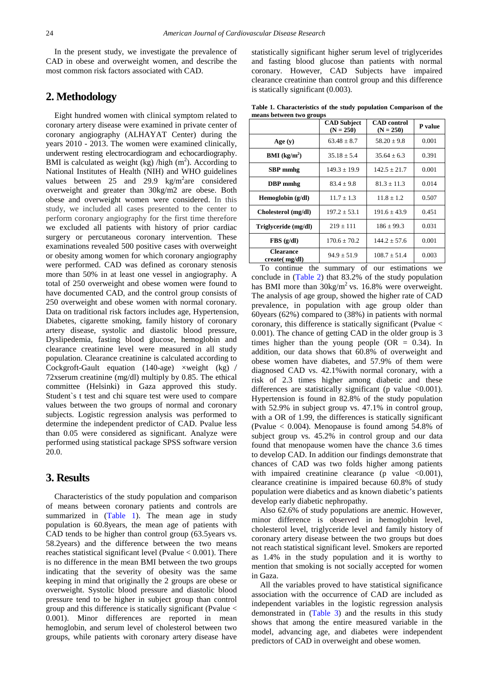In the present study, we investigate the prevalence of CAD in obese and overweight women, and describe the most common risk factors associated with CAD.

## **2. Methodology**

Eight hundred women with clinical symptom related to coronary artery disease were examined in private center of coronary angiography (ALHAYAT Center) during the years 2010 - 2013. The women were examined clinically, underwent resting electrocardiogram and echocardiography. BMI is calculated as weight (kg) /high  $(m<sup>2</sup>)$ . According to National Institutes of Health (NIH) and WHO guidelines values between  $25$  and  $29.9$  kg/m<sup>2</sup> are considered overweight and greater than 30kg/m2 are obese. Both obese and overweight women were considered. In this study, we included all cases presented to the center to perform coronary angiography for the first time therefore we excluded all patients with history of prior cardiac surgery or percutaneous coronary intervention. These examinations revealed 500 positive cases with overweight or obesity among women for which coronary angiography were performed. CAD was defined as coronary stenosis more than 50% in at least one vessel in angiography. A total of 250 overweight and obese women were found to have documented CAD, and the control group consists of 250 overweight and obese women with normal coronary. Data on traditional risk factors includes age, Hypertension, Diabetes, cigarette smoking, family history of coronary artery disease, systolic and diastolic blood pressure, Dyslipedemia, fasting blood glucose, hemoglobin and clearance creatinine level were measured in all study population. Clearance creatinine is calculated according to Cockgroft-Gault equation (140-age)  $\times$ weight (kg) / 72xserum creatinine (mg/dl) multiply by 0.85. The ethical committee (Helsinki) in Gaza approved this study. Student`s t test and chi square test were used to compare values between the two groups of normal and coronary subjects. Logistic regression analysis was performed to determine the independent predictor of CAD. Pvalue less than 0.05 were considered as significant. Analyze were performed using statistical package SPSS software version 20.0.

## **3. Results**

Characteristics of the study population and comparison of means between coronary patients and controls are summarized in [\(Table 1\)](#page-1-0). The mean age in study population is 60.8years, the mean age of patients with CAD tends to be higher than control group (63.5years vs. 58.2years) and the difference between the two means reaches statistical significant level (Pvalue < 0.001). There is no difference in the mean BMI between the two groups indicating that the severity of obesity was the same keeping in mind that originally the 2 groups are obese or overweight. Systolic blood pressure and diastolic blood pressure tend to be higher in subject group than control group and this difference is statically significant (Pvalue < 0.001). Minor differences are reported in mean hemoglobin, and serum level of cholesterol between two groups, while patients with coronary artery disease have

statistically significant higher serum level of triglycerides and fasting blood glucose than patients with normal coronary. However, CAD Subjects have impaired clearance creatinine than control group and this difference is statically significant (0.003).

**Table 1. Characteristics of the study population Comparison of the means between two groups**

<span id="page-1-0"></span>

|                                   | <b>CAD</b> Subject<br>$(N = 250)$ | <b>CAD</b> control<br>$(N = 250)$ | P value |
|-----------------------------------|-----------------------------------|-----------------------------------|---------|
| Age $(y)$                         | $63.48 \pm 8.7$                   | $58.20 \pm 9.8$                   | 0.001   |
| <b>BMI</b> ( $kg/m2$ )            | $35.18 + 5.4$                     | $35.64 + 6.3$                     | 0.391   |
| <b>SBP</b> mmhg                   | $149.3 \pm 19.9$                  | $142.5 \pm 21.7$                  | 0.001   |
| DBP mmhg                          | $83.4 \pm 9.8$                    | $81.3 \pm 11.3$                   | 0.014   |
| Hemoglobin $(g/dl)$               | $11.7 + 1.3$                      | $11.8 + 1.2$                      | 0.507   |
| Cholesterol (mg/dl)               | $197.2 \pm 53.1$                  | $191.6 + 43.9$                    | 0.451   |
| Triglyceride (mg/dl)              | $219 \pm 111$                     | $186 \pm 99.3$                    | 0.031   |
| FBS(g/dl)                         | $170.6 \pm 70.2$                  | $144.2 + 57.6$                    | 0.001   |
| <b>Clearance</b><br>create(mg/dl) | $94.9 \pm 51.9$                   | $108.7 \pm 51.4$                  | 0.003   |

To continue the summary of our estimations we conclude in [\(Table 2\)](#page-2-0) that 83.2% of the study population has BMI more than  $30\text{kg/m}^2$  vs. 16.8% were overweight. The analysis of age group, showed the higher rate of CAD prevalence, in population with age group older than 60years (62%) compared to (38%) in patients with normal coronary, this difference is statically significant (Pvalue < 0.001). The chance of getting CAD in the older group is 3 times higher than the young people (OR  $= 0.34$ ). In addition, our data shows that 60.8% of overweight and obese women have diabetes, and 57.9% of them were diagnosed CAD vs. 42.1%with normal coronary, with a risk of 2.3 times higher among diabetic and these differences are statistically significant (p value  $\leq 0.001$ ). Hypertension is found in 82.8% of the study population with 52.9% in subject group vs. 47.1% in control group, with a OR of 1.99, the differences is statically significant (Pvalue < 0.004). Menopause is found among 54.8% of subject group vs. 45.2% in control group and our data found that menopause women have the chance 3.6 times to develop CAD. In addition our findings demonstrate that chances of CAD was two folds higher among patients with impaired creatinine clearance (p value  $\leq 0.001$ ), clearance creatinine is impaired because 60.8% of study population were diabetics and as known diabetic's patients develop early diabetic nephropathy.

Also 62.6% of study populations are anemic. However, minor difference is observed in hemoglobin level, cholesterol level, triglyceride level and family history of coronary artery disease between the two groups but does not reach statistical significant level. Smokers are reported as 1.4% in the study population and it is worthy to mention that smoking is not socially accepted for women in Gaza.

All the variables proved to have statistical significance association with the occurrence of CAD are included as independent variables in the logistic regression analysis demonstrated in [\(Table 3\)](#page-2-1) and the results in this study shows that among the entire measured variable in the model, advancing age, and diabetes were independent predictors of CAD in overweight and obese women.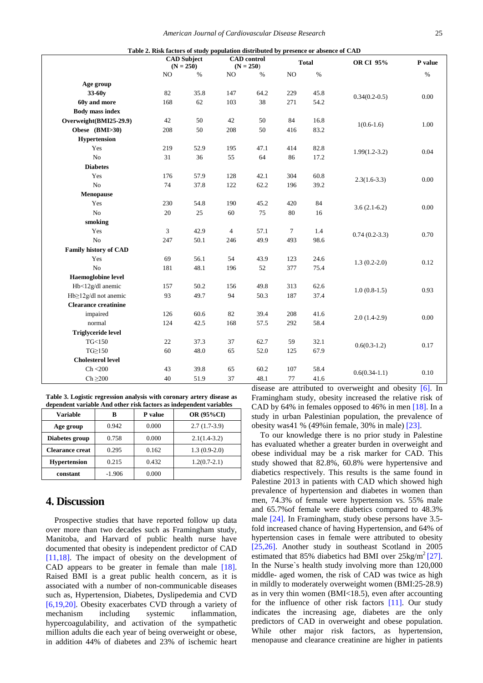<span id="page-2-0"></span>

| Table 2. Risk factors of study population distributed by presence or absence of CAD |     |                                   |                |                                   |        |              |                 |          |
|-------------------------------------------------------------------------------------|-----|-----------------------------------|----------------|-----------------------------------|--------|--------------|-----------------|----------|
|                                                                                     |     | <b>CAD</b> Subject<br>$(N = 250)$ |                | <b>CAD</b> control<br>$(N = 250)$ |        | <b>Total</b> | OR CI 95%       | P value  |
|                                                                                     | NO  | $\%$                              | NO             | $\%$                              | NO     | $\%$         |                 | $\%$     |
| Age group                                                                           |     |                                   |                |                                   |        |              |                 |          |
| 33-60y                                                                              | 82  | 35.8                              | 147            | 64.2                              | 229    | 45.8         | $0.34(0.2-0.5)$ | $0.00\,$ |
| 60y and more                                                                        | 168 | 62                                | 103            | 38                                | 271    | 54.2         |                 |          |
| <b>Body mass index</b>                                                              |     |                                   |                |                                   |        |              |                 |          |
| Overweight(BMI25-29.9)                                                              | 42  | 50                                | 42             | 50                                | 84     | 16.8         | $1(0.6-1.6)$    | 1.00     |
| Obese (BMI>30)                                                                      | 208 | 50                                | 208            | 50                                | 416    | 83.2         |                 |          |
| Hypertension                                                                        |     |                                   |                |                                   |        |              |                 |          |
| Yes                                                                                 | 219 | 52.9                              | 195            | 47.1                              | 414    | 82.8         | $1.99(1.2-3.2)$ | 0.04     |
| ${\rm No}$                                                                          | 31  | 36                                | 55             | 64                                | 86     | 17.2         |                 |          |
| <b>Diabetes</b>                                                                     |     |                                   |                |                                   |        |              |                 |          |
| Yes                                                                                 | 176 | 57.9                              | 128            | 42.1                              | 304    | 60.8         | $2.3(1.6-3.3)$  | $0.00\,$ |
| No                                                                                  | 74  | 37.8                              | 122            | 62.2                              | 196    | 39.2         |                 |          |
| Menopause                                                                           |     |                                   |                |                                   |        |              |                 |          |
| Yes                                                                                 | 230 | 54.8                              | 190            | 45.2                              | 420    | 84           | $3.6(2.1-6.2)$  | 0.00     |
| No                                                                                  | 20  | 25                                | 60             | 75                                | 80     | 16           |                 |          |
| smoking                                                                             |     |                                   |                |                                   |        |              |                 |          |
| Yes                                                                                 | 3   | 42.9                              | $\overline{4}$ | 57.1                              | $\tau$ | 1.4          | $0.74(0.2-3.3)$ | 0.70     |
| No                                                                                  | 247 | 50.1                              | 246            | 49.9                              | 493    | 98.6         |                 |          |
| <b>Family history of CAD</b>                                                        |     |                                   |                |                                   |        |              |                 |          |
| Yes                                                                                 | 69  | 56.1                              | 54             | 43.9                              | 123    | 24.6         | $1.3(0.2-2.0)$  | 0.12     |
| No                                                                                  | 181 | 48.1                              | 196            | 52                                | 377    | 75.4         |                 |          |
| <b>Haemoglobine level</b>                                                           |     |                                   |                |                                   |        |              |                 |          |
| Hb<12g/dl anemic                                                                    | 157 | 50.2                              | 156            | 49.8                              | 313    | 62.6         | $1.0(0.8-1.5)$  | 0.93     |
| Hb≥12g/dl not anemic                                                                | 93  | 49.7                              | 94             | 50.3                              | 187    | 37.4         |                 |          |
| <b>Clearance creatinine</b>                                                         |     |                                   |                |                                   |        |              |                 |          |
| impaired                                                                            | 126 | 60.6                              | 82             | 39.4                              | 208    | 41.6         | $2.0(1.4-2.9)$  | 0.00     |
| normal                                                                              | 124 | 42.5                              | 168            | 57.5                              | 292    | 58.4         |                 |          |
| <b>Triglyceride level</b>                                                           |     |                                   |                |                                   |        |              |                 |          |
| TG<150                                                                              | 22  | 37.3                              | 37             | 62.7                              | 59     | 32.1         | $0.6(0.3-1.2)$  | 0.17     |
| $TG \geq 150$                                                                       | 60  | 48.0                              | 65             | 52.0                              | 125    | 67.9         |                 |          |
| <b>Cholesterol level</b>                                                            |     |                                   |                |                                   |        |              |                 |          |
| Ch < 200                                                                            | 43  | 39.8                              | 65             | 60.2                              | 107    | 58.4         | $0.6(0.34-1.1)$ | 0.10     |
| $Ch \geq 200$                                                                       | 40  | 51.9                              | 37             | 48.1                              | $77\,$ | 41.6         |                 |          |

**Table 3. Logistic regression analysis with coronary artery disease as dependent variable And other risk factors as independent variables**

<span id="page-2-1"></span>

| <b>Variable</b>        | B        | <b>P</b> value | <b>OR (95%CI)</b> |
|------------------------|----------|----------------|-------------------|
| Age group              | 0.942    | 0.000          | $2.7(1.7-3.9)$    |
| Diabetes group         | 0.758    | 0.000          | $2.1(1.4-3.2)$    |
| <b>Clearance creat</b> | 0.295    | 0.162          | $1.3(0.9-2.0)$    |
| <b>Hypertension</b>    | 0.215    | 0.432          | $1.2(0.7-2.1)$    |
| constant               | $-1.906$ | 0.000          |                   |

## **4. Discussion**

Prospective studies that have reported follow up data over more than two decades such as Framingham study, Manitoba, and Harvard of public health nurse have documented that obesity is independent predictor of CAD [\[11,18\].](#page-3-10) The impact of obesity on the development of CAD appears to be greater in female than male [\[18\].](#page-3-15) Raised BMI is a great public health concern, as it is associated with a number of non-communicable diseases such as, Hypertension, Diabetes, Dyslipedemia and CVD [\[6,19,20\].](#page-3-5) Obesity exacerbates CVD through a variety of mechanism including systemic inflammation, hypercoagulability, and activation of the sympathetic million adults die each year of being overweight or obese, in addition 44% of diabetes and 23% of ischemic heart disease are attributed to overweight and obesity [\[6\].](#page-3-5) In Framingham study, obesity increased the relative risk of CAD by 64% in females opposed to 46% in men [\[18\].](#page-3-15) In a study in urban Palestinian population, the prevalence of obesity was41 % (49%in female, 30% in male) [\[23\].](#page-3-16)

To our knowledge there is no prior study in Palestine has evaluated whether a greater burden in overweight and obese individual may be a risk marker for CAD. This study showed that 82.8%, 60.8% were hypertensive and diabetics respectively. This results is the same found in Palestine 2013 in patients with CAD which showed high prevalence of hypertension and diabetes in women than men, 74.3% of female were hypertension vs. 55% male and 65.7%of female were diabetics compared to 48.3% male [\[24\].](#page-3-17) In Framingham, study obese persons have 3.5 fold increased chance of having Hypertension, and 64% of hypertension cases in female were attributed to obesity [\[25,26\].](#page-3-18) Another study in southeast Scotland in 2005 estimated that 85% diabetics had BMI over  $25 \text{kg/m}^2$  [\[27\].](#page-3-19) In the Nurse`s health study involving more than 120,000 middle- aged women, the risk of CAD was twice as high in mildly to moderately overweight women (BMI:25-28.9) as in very thin women (BMI<18.5), even after accounting for the influence of other risk factors [\[11\].](#page-3-10) Our study indicates the increasing age, diabetes are the only predictors of CAD in overweight and obese population. While other major risk factors, as hypertension, menopause and clearance creatinine are higher in patients